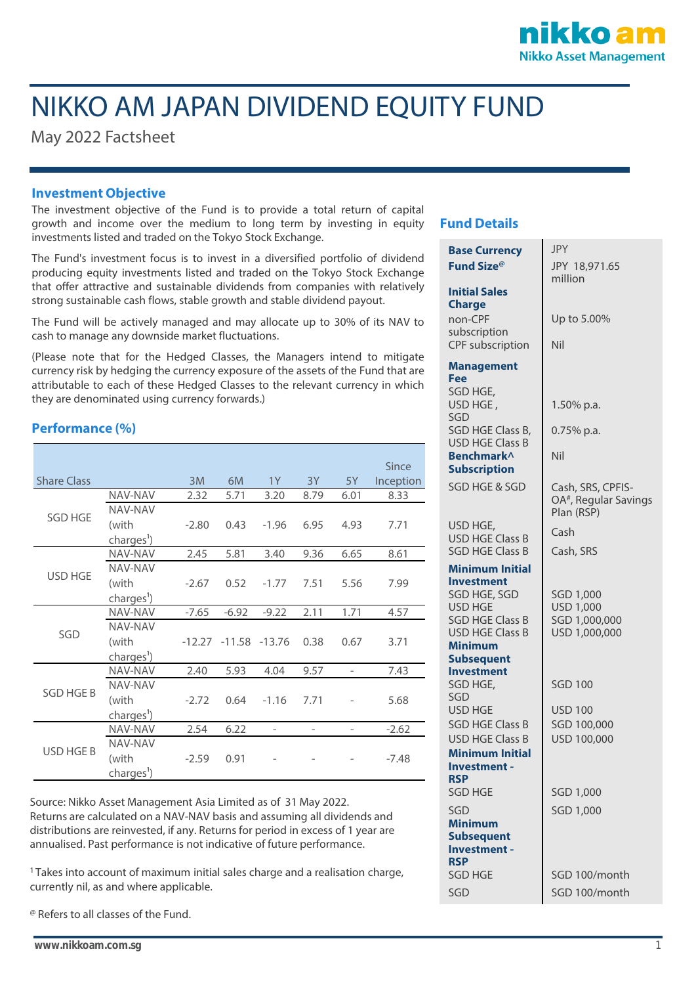

# NIKKO AM JAPAN DIVIDEND EQUITY FUND

May 2022 Factsheet

### **Investment Objective**

The investment objective of the Fund is to provide a total return of capital growth and income over the medium to long term by investing in equity investments listed and traded on the Tokyo Stock Exchange.

The Fund's investment focus is to invest in a diversified portfolio of dividend producing equity investments listed and traded on the Tokyo Stock Exchange that offer attractive and sustainable dividends from companies with relatively strong sustainable cash flows, stable growth and stable dividend payout.

The Fund will be actively managed and may allocate up to 30% of its NAV to cash to manage any downside market fluctuations.

(Please note that for the Hedged Classes, the Managers intend to mitigate currency risk by hedging the currency exposure of the assets of the Fund that are attributable to each of these Hedged Classes to the relevant currency in which they are denominated using currency forwards.)

### **Performance (%)**

| <b>Share Class</b> |                        | 3M      | 6M                       | 1Y                       | 3Y                       | 5Y                       | Since<br>Inception |
|--------------------|------------------------|---------|--------------------------|--------------------------|--------------------------|--------------------------|--------------------|
| <b>SGD HGE</b>     | <b>NAV-NAV</b>         | 2.32    | 5.71                     | 3.20                     | 8.79                     | 6.01                     | 8.33               |
|                    | <b>NAV-NAV</b>         |         |                          |                          |                          |                          |                    |
|                    | (with                  | $-2.80$ | 0.43                     | $-1.96$                  | 6.95                     | 4.93                     | 7.71               |
|                    | charges <sup>1</sup> ) |         |                          |                          |                          |                          |                    |
| <b>USD HGE</b>     | NAV-NAV                | 2.45    | 5.81                     | 3.40                     | 9.36                     | 6.65                     | 8.61               |
|                    | NAV-NAV                |         |                          |                          |                          |                          |                    |
|                    | (with                  | $-2.67$ | 0.52                     | $-1.77$                  | 7.51                     | 5.56                     | 7.99               |
|                    | charges <sup>1</sup> ) |         |                          |                          |                          |                          |                    |
| SGD                | NAV-NAV                | $-7.65$ | $-6.92$                  | $-9.22$                  | 2.11                     | 1.71                     | 4.57               |
|                    | NAV-NAV                |         |                          |                          |                          |                          |                    |
|                    | (with                  |         | $-12.27 - 11.58 - 13.76$ |                          | 0.38                     | 0.67                     | 3.71               |
|                    | charges <sup>1</sup> ) |         |                          |                          |                          |                          |                    |
| <b>SGD HGE B</b>   | NAV-NAV                | 2.40    | 5.93                     | 4.04                     | 9.57                     | $\overline{\phantom{a}}$ | 7.43               |
|                    | <b>NAV-NAV</b>         |         |                          |                          |                          |                          |                    |
|                    | (with                  | $-2.72$ | 0.64                     | $-1.16$                  | 7.71                     |                          | 5.68               |
|                    | charges <sup>1</sup> ) |         |                          |                          |                          |                          |                    |
| USD HGE B          | NAV-NAV                | 2.54    | 6.22                     | $\overline{\phantom{a}}$ | $\overline{\phantom{0}}$ |                          | $-2.62$            |
|                    | NAV-NAV                |         |                          |                          |                          |                          |                    |
|                    | (with                  | $-2.59$ | 0.91                     |                          |                          |                          | $-7.48$            |
|                    | charges <sup>1</sup> ) |         |                          |                          |                          |                          |                    |

Source: Nikko Asset Management Asia Limited as of 31 May 2022. Returns are calculated on a NAV-NAV basis and assuming all dividends and distributions are reinvested, if any. Returns for period in excess of 1 year are annualised. Past performance is not indicative of future performance.

<sup>1</sup>Takes into account of maximum initial sales charge and a realisation charge, currently nil, as and where applicable.

@ Refers to all classes of the Fund.

### **Fund Details**

| <b>Base Currency</b>                                                               | <b>JPY</b>                                                           |  |  |  |
|------------------------------------------------------------------------------------|----------------------------------------------------------------------|--|--|--|
| Fund Size <sup>®</sup>                                                             | JPY 18,971.65                                                        |  |  |  |
|                                                                                    | million                                                              |  |  |  |
| <b>Initial Sales</b><br><b>Charge</b>                                              |                                                                      |  |  |  |
| non-CPF<br>subscription                                                            | Up to 5.00%                                                          |  |  |  |
| <b>CPF</b> subscription                                                            | Nil                                                                  |  |  |  |
| <b>Management</b><br>Fee                                                           |                                                                      |  |  |  |
| SGD HGE,                                                                           |                                                                      |  |  |  |
| USD HGE,<br>SGD                                                                    | 1.50% p.a.                                                           |  |  |  |
| SGD HGE Class B,<br><b>USD HGE Class B</b>                                         | 0.75% p.a.                                                           |  |  |  |
| Benchmark^<br><b>Subscription</b>                                                  | Nil                                                                  |  |  |  |
| SGD HGE & SGD                                                                      | Cash, SRS, CPFIS-<br>OA <sup>#</sup> , Regular Savings<br>Plan (RSP) |  |  |  |
| USD HGE,                                                                           | Cash                                                                 |  |  |  |
| <b>USD HGE Class B</b><br><b>SGD HGE Class B</b>                                   | Cash, SRS                                                            |  |  |  |
|                                                                                    |                                                                      |  |  |  |
| Minimum Initial<br><b>Investment</b>                                               |                                                                      |  |  |  |
| SGD HGE, SGD<br><b>USD HGE</b><br><b>SGD HGE Class B</b><br><b>USD HGE Class B</b> | SGD 1,000<br>USD 1,000<br>SGD 1,000,000<br>USD 1,000,000             |  |  |  |
| Minimum                                                                            |                                                                      |  |  |  |
| <b>Subsequent</b>                                                                  |                                                                      |  |  |  |
| <b>Investment</b>                                                                  |                                                                      |  |  |  |
| SGD HGE,<br>SGD                                                                    | <b>SGD 100</b>                                                       |  |  |  |
| <b>USD HGE</b>                                                                     | <b>USD 100</b>                                                       |  |  |  |
| <b>SGD HGE Class B</b>                                                             | SGD 100,000                                                          |  |  |  |
| <b>USD HGE Class B</b>                                                             | USD 100,000                                                          |  |  |  |
| <b>Minimum Initial</b>                                                             |                                                                      |  |  |  |
| Investment -                                                                       |                                                                      |  |  |  |
| <b>RSP</b><br><b>SGD HGE</b>                                                       | SGD 1,000                                                            |  |  |  |
| SGD                                                                                | SGD 1,000                                                            |  |  |  |
| <b>Minimum</b><br><b>Subsequent</b><br>Investment -                                |                                                                      |  |  |  |
| <b>RSP</b><br><b>SGD HGE</b>                                                       | SGD 100/month                                                        |  |  |  |
|                                                                                    |                                                                      |  |  |  |
| SGD                                                                                | SGD 100/month                                                        |  |  |  |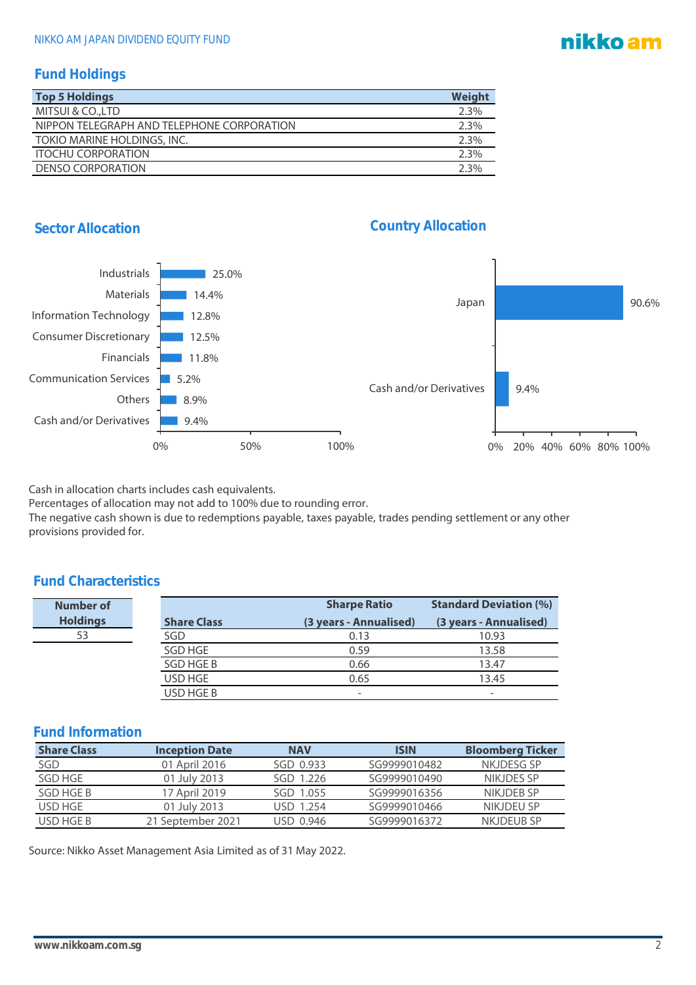## nikko am

### **Fund Holdings**

| <b>Top 5 Holdings</b>                      | Weight |
|--------------------------------------------|--------|
| MITSUI & CO., LTD                          | 2.3%   |
| NIPPON TELEGRAPH AND TELEPHONE CORPORATION | 2.3%   |
| TOKIO MARINE HOLDINGS, INC.                | 2.3%   |
| <b>ITOCHU CORPORATION</b>                  | 2.3%   |
| DENSO CORPORATION                          | 2.3%   |





Cash in allocation charts includes cash equivalents.

Percentages of allocation may not add to 100% due to rounding error.

The negative cash shown is due to redemptions payable, taxes payable, trades pending settlement or any other provisions provided for.

### **Fund Characteristics**

| Number of       |                    | <b>Sharpe Ratio</b>    | <b>Standard Deviation (%)</b> |  |
|-----------------|--------------------|------------------------|-------------------------------|--|
| <b>Holdings</b> | <b>Share Class</b> | (3 years - Annualised) | (3 years - Annualised)        |  |
| 53              | SGD                | 0.13                   | 10.93                         |  |
|                 | SGD HGE            | 0.59                   | 13.58                         |  |
|                 | SGD HGE B          | 0.66                   | 13.47                         |  |
|                 | USD HGE            | 0.65                   | 13.45                         |  |
|                 | USD HGE B          | -                      | -                             |  |

| <b>Share Class</b> | <b>Inception Date</b> | <b>NAV</b> | <b>ISIN</b>  | <b>Bloomberg Ticker</b> |
|--------------------|-----------------------|------------|--------------|-------------------------|
| SGD                | 01 April 2016         | SGD 0.933  | SG9999010482 | NKJDESG SP              |
| SGD HGE            | 01 July 2013          | SGD 1.226  | SG9999010490 | NIKJDES SP              |
| SGD HGE B          | 17 April 2019         | SGD 1.055  | SG9999016356 | NIKJDEB SP              |
| USD HGE            | 01 July 2013          | USD 1.254  | SG9999010466 | NIKJDEU SP              |
| USD HGE B          | 21 September 2021     | USD 0.946  | SG9999016372 | NKJDEUB SP              |

Source: Nikko Asset Management Asia Limited as of 31 May 2022.